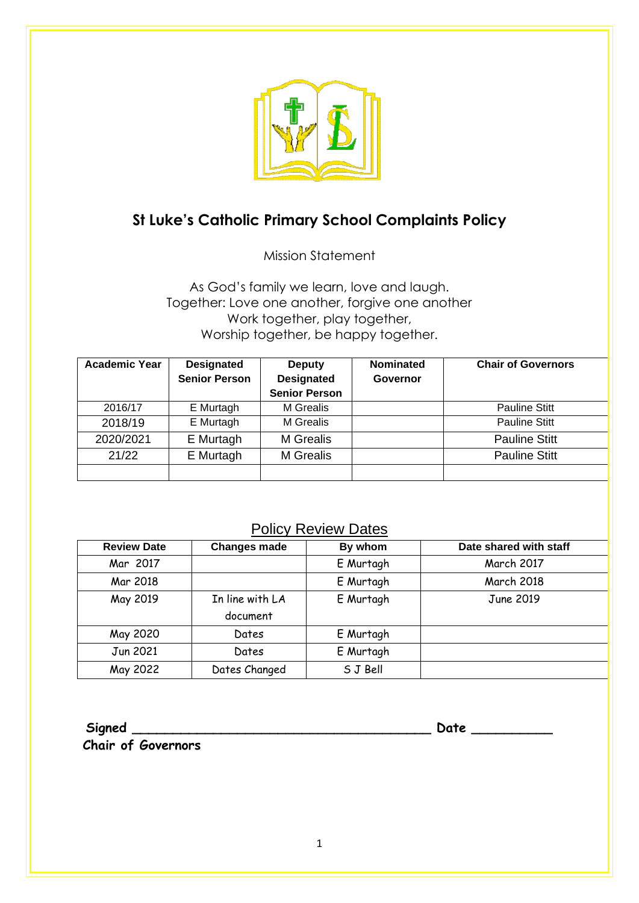

# **St Luke's Catholic Primary School Complaints Policy**

Mission Statement

As God's family we learn, love and laugh. Together: Love one another, forgive one another Work together, play together, Worship together, be happy together.

| <b>Academic Year</b> | <b>Designated</b>    | Deputy               | <b>Nominated</b> | <b>Chair of Governors</b> |
|----------------------|----------------------|----------------------|------------------|---------------------------|
|                      | <b>Senior Person</b> | <b>Designated</b>    | Governor         |                           |
|                      |                      | <b>Senior Person</b> |                  |                           |
| 2016/17              | E Murtagh            | M Grealis            |                  | <b>Pauline Stitt</b>      |
| 2018/19              | E Murtagh            | M Grealis            |                  | <b>Pauline Stitt</b>      |
| 2020/2021            | E Murtagh            | <b>M</b> Grealis     |                  | <b>Pauline Stitt</b>      |
| 21/22                | E Murtagh            | M Grealis            |                  | <b>Pauline Stitt</b>      |
|                      |                      |                      |                  |                           |

# Policy Review Dates

| <b>Review Date</b> | <b>Changes made</b> | By whom   | Date shared with staff |
|--------------------|---------------------|-----------|------------------------|
| Mar 2017           |                     | E Murtagh | March 2017             |
| Mar 2018           |                     | E Murtagh | <b>March 2018</b>      |
| May 2019           | In line with LA     | E Murtagh | June 2019              |
|                    | document            |           |                        |
| May 2020           | Dates               | E Murtagh |                        |
| Jun 2021           | Dates               | E Murtagh |                        |
| May 2022           | Dates Changed       | S J Bell  |                        |

**Signed \_\_\_\_\_\_\_\_\_\_\_\_\_\_\_\_\_\_\_\_\_\_\_\_\_\_\_\_\_\_\_\_\_\_\_\_\_ Date \_\_\_\_\_\_\_\_\_\_**

**Chair of Governors**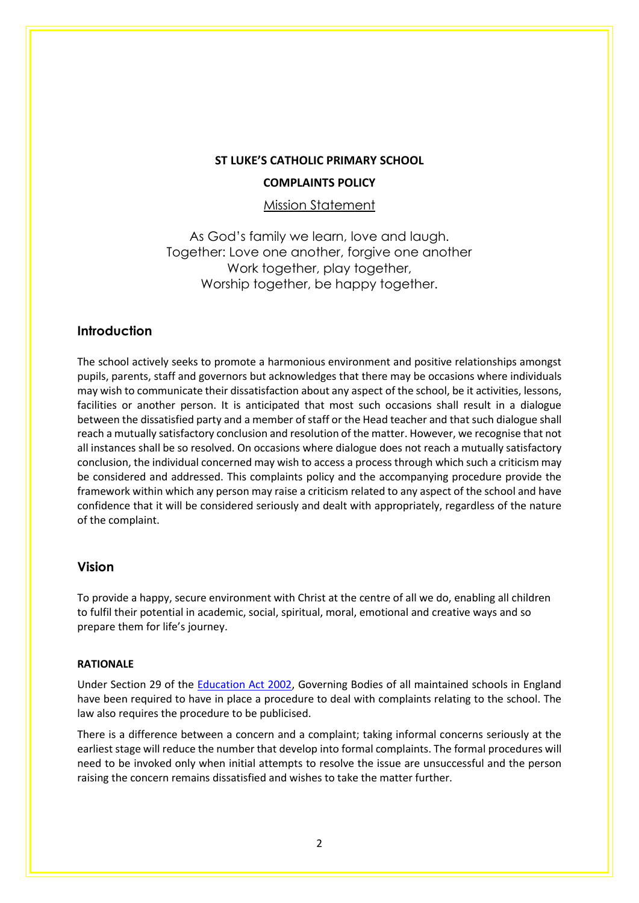## **ST LUKE'S CATHOLIC PRIMARY SCHOOL COMPLAINTS POLICY**

Mission Statement

As God's family we learn, love and laugh. Together: Love one another, forgive one another Work together, play together, Worship together, be happy together.

## **Introduction**

The school actively seeks to promote a harmonious environment and positive relationships amongst pupils, parents, staff and governors but acknowledges that there may be occasions where individuals may wish to communicate their dissatisfaction about any aspect of the school, be it activities, lessons, facilities or another person. It is anticipated that most such occasions shall result in a dialogue between the dissatisfied party and a member of staff or the Head teacher and that such dialogue shall reach a mutually satisfactory conclusion and resolution of the matter. However, we recognise that not all instances shall be so resolved. On occasions where dialogue does not reach a mutually satisfactory conclusion, the individual concerned may wish to access a process through which such a criticism may be considered and addressed. This complaints policy and the accompanying procedure provide the framework within which any person may raise a criticism related to any aspect of the school and have confidence that it will be considered seriously and dealt with appropriately, regardless of the nature of the complaint.

## **Vision**

To provide a happy, secure environment with Christ at the centre of all we do, enabling all children to fulfil their potential in academic, social, spiritual, moral, emotional and creative ways and so prepare them for life's journey.

#### **RATIONALE**

Under Section 29 of the [Education Act 2002,](http://www.legislation.gov.uk/ukpga/2002/32/contents) Governing Bodies of all maintained schools in England have been required to have in place a procedure to deal with complaints relating to the school. The law also requires the procedure to be publicised.

There is a difference between a concern and a complaint; taking informal concerns seriously at the earliest stage will reduce the number that develop into formal complaints. The formal procedures will need to be invoked only when initial attempts to resolve the issue are unsuccessful and the person raising the concern remains dissatisfied and wishes to take the matter further.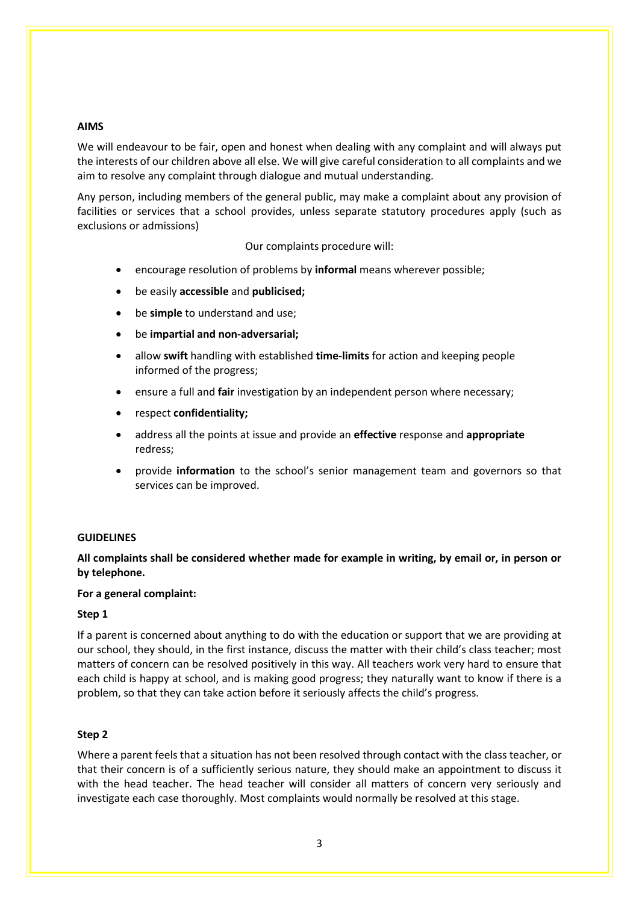#### **AIMS**

We will endeavour to be fair, open and honest when dealing with any complaint and will always put the interests of our children above all else. We will give careful consideration to all complaints and we aim to resolve any complaint through dialogue and mutual understanding.

Any person, including members of the general public, may make a complaint about any provision of facilities or services that a school provides, unless separate statutory procedures apply (such as exclusions or admissions)

Our complaints procedure will:

- encourage resolution of problems by **informal** means wherever possible;
- be easily **accessible** and **publicised;**
- be **simple** to understand and use;
- be **impartial and non-adversarial;**
- allow **swift** handling with established **time-limits** for action and keeping people informed of the progress;
- ensure a full and **fair** investigation by an independent person where necessary;
- respect **confidentiality;**
- address all the points at issue and provide an **effective** response and **appropriate**  redress;
- provide **information** to the school's senior management team and governors so that services can be improved.

#### **GUIDELINES**

## **All complaints shall be considered whether made for example in writing, by email or, in person or by telephone.**

#### **For a general complaint:**

#### **Step 1**

If a parent is concerned about anything to do with the education or support that we are providing at our school, they should, in the first instance, discuss the matter with their child's class teacher; most matters of concern can be resolved positively in this way. All teachers work very hard to ensure that each child is happy at school, and is making good progress; they naturally want to know if there is a problem, so that they can take action before it seriously affects the child's progress.

#### **Step 2**

Where a parent feels that a situation has not been resolved through contact with the class teacher, or that their concern is of a sufficiently serious nature, they should make an appointment to discuss it with the head teacher. The head teacher will consider all matters of concern very seriously and investigate each case thoroughly. Most complaints would normally be resolved at this stage.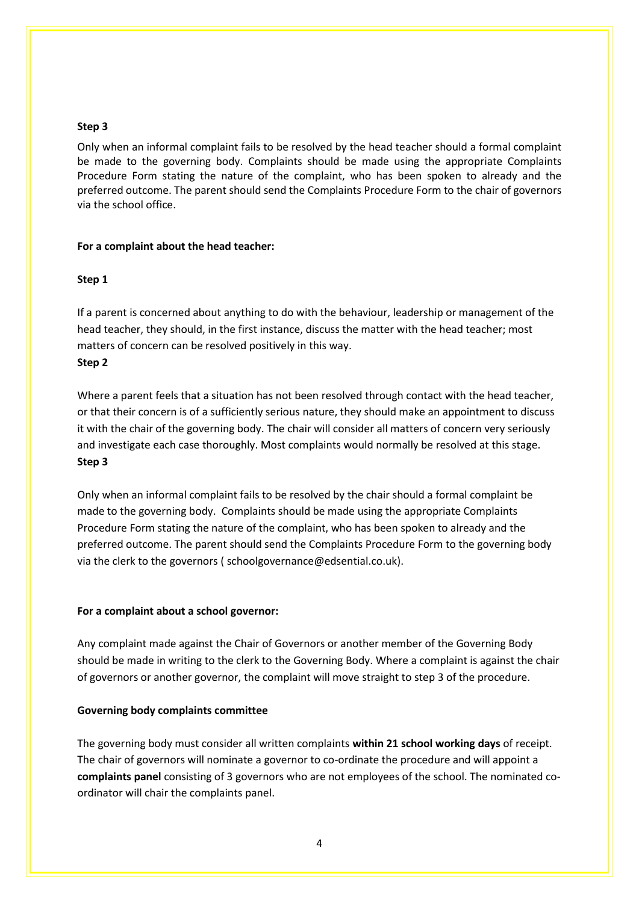#### **Step 3**

Only when an informal complaint fails to be resolved by the head teacher should a formal complaint be made to the governing body. Complaints should be made using the appropriate Complaints Procedure Form stating the nature of the complaint, who has been spoken to already and the preferred outcome. The parent should send the Complaints Procedure Form to the chair of governors via the school office.

#### **For a complaint about the head teacher:**

#### **Step 1**

If a parent is concerned about anything to do with the behaviour, leadership or management of the head teacher, they should, in the first instance, discuss the matter with the head teacher; most matters of concern can be resolved positively in this way. **Step 2** 

Where a parent feels that a situation has not been resolved through contact with the head teacher, or that their concern is of a sufficiently serious nature, they should make an appointment to discuss it with the chair of the governing body. The chair will consider all matters of concern very seriously and investigate each case thoroughly. Most complaints would normally be resolved at this stage. **Step 3** 

Only when an informal complaint fails to be resolved by the chair should a formal complaint be made to the governing body. Complaints should be made using the appropriate Complaints Procedure Form stating the nature of the complaint, who has been spoken to already and the preferred outcome. The parent should send the Complaints Procedure Form to the governing body via the clerk to the governors ( schoolgovernance@edsential.co.uk).

#### **For a complaint about a school governor:**

Any complaint made against the Chair of Governors or another member of the Governing Body should be made in writing to the clerk to the Governing Body. Where a complaint is against the chair of governors or another governor, the complaint will move straight to step 3 of the procedure.

#### **Governing body complaints committee**

The governing body must consider all written complaints **within 21 school working days** of receipt. The chair of governors will nominate a governor to co-ordinate the procedure and will appoint a **complaints panel** consisting of 3 governors who are not employees of the school. The nominated coordinator will chair the complaints panel.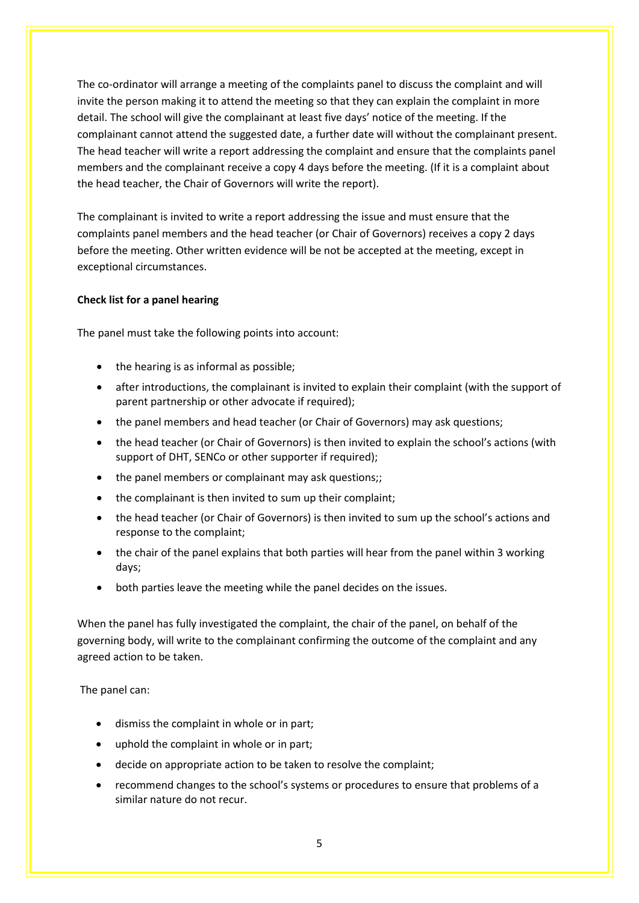The co-ordinator will arrange a meeting of the complaints panel to discuss the complaint and will invite the person making it to attend the meeting so that they can explain the complaint in more detail. The school will give the complainant at least five days' notice of the meeting. If the complainant cannot attend the suggested date, a further date will without the complainant present. The head teacher will write a report addressing the complaint and ensure that the complaints panel members and the complainant receive a copy 4 days before the meeting. (If it is a complaint about the head teacher, the Chair of Governors will write the report).

The complainant is invited to write a report addressing the issue and must ensure that the complaints panel members and the head teacher (or Chair of Governors) receives a copy 2 days before the meeting. Other written evidence will be not be accepted at the meeting, except in exceptional circumstances.

### **Check list for a panel hearing**

The panel must take the following points into account:

- the hearing is as informal as possible;
- after introductions, the complainant is invited to explain their complaint (with the support of parent partnership or other advocate if required);
- the panel members and head teacher (or Chair of Governors) may ask questions;
- the head teacher (or Chair of Governors) is then invited to explain the school's actions (with support of DHT, SENCo or other supporter if required);
- the panel members or complainant may ask questions;;
- the complainant is then invited to sum up their complaint;
- the head teacher (or Chair of Governors) is then invited to sum up the school's actions and response to the complaint;
- the chair of the panel explains that both parties will hear from the panel within 3 working days;
- both parties leave the meeting while the panel decides on the issues.

When the panel has fully investigated the complaint, the chair of the panel, on behalf of the governing body, will write to the complainant confirming the outcome of the complaint and any agreed action to be taken.

The panel can:

- dismiss the complaint in whole or in part;
- uphold the complaint in whole or in part;
- decide on appropriate action to be taken to resolve the complaint;
- recommend changes to the school's systems or procedures to ensure that problems of a similar nature do not recur.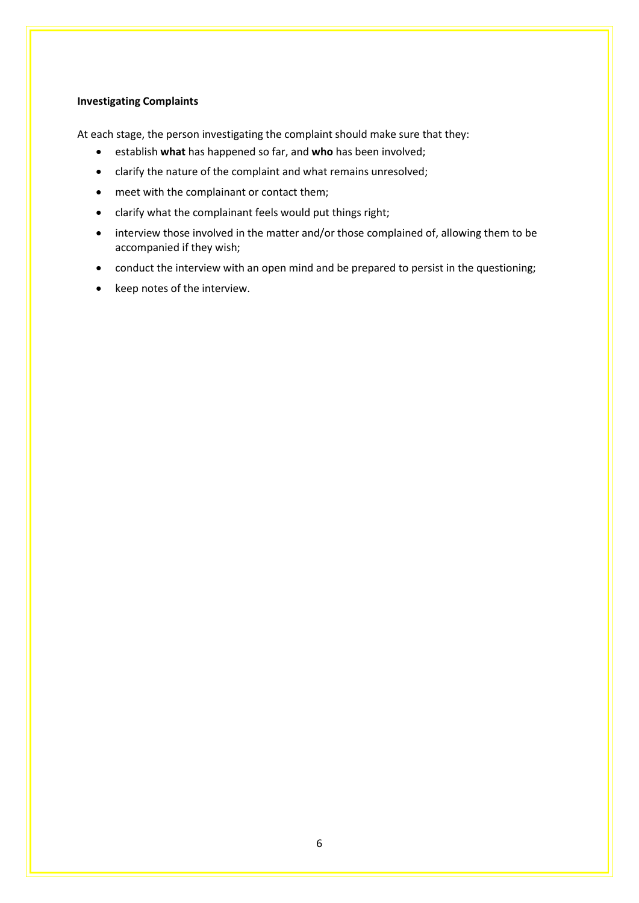#### **Investigating Complaints**

At each stage, the person investigating the complaint should make sure that they:

- establish **what** has happened so far, and **who** has been involved;
- clarify the nature of the complaint and what remains unresolved;
- meet with the complainant or contact them;
- clarify what the complainant feels would put things right;
- interview those involved in the matter and/or those complained of, allowing them to be accompanied if they wish;
- conduct the interview with an open mind and be prepared to persist in the questioning;
- keep notes of the interview.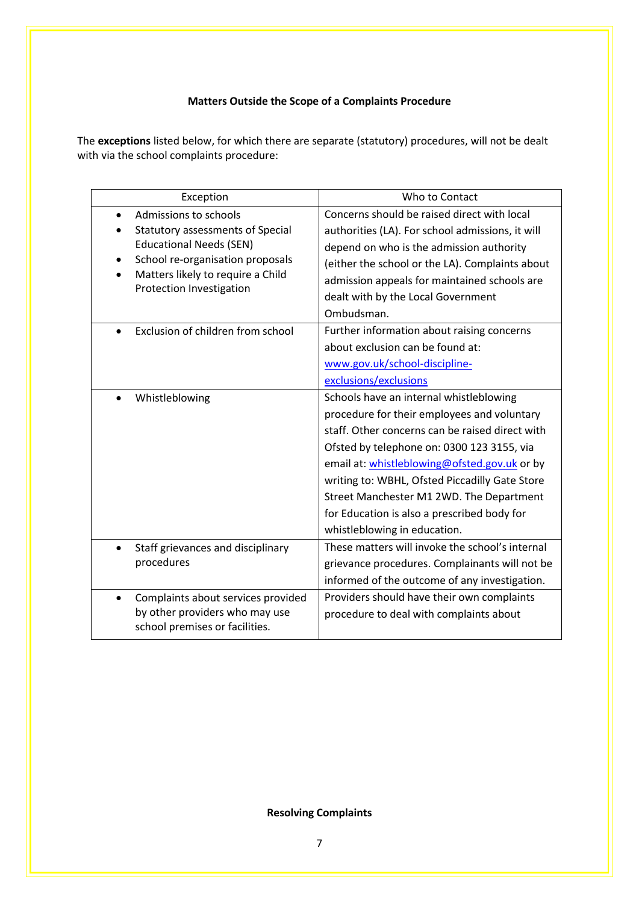## **Matters Outside the Scope of a Complaints Procedure**

The **exceptions** listed below, for which there are separate (statutory) procedures, will not be dealt with via the school complaints procedure:

| Exception                                                                                                                                                                                                            | Who to Contact                                                                                                                                                                                                                                                                                                                                                                                                       |  |  |
|----------------------------------------------------------------------------------------------------------------------------------------------------------------------------------------------------------------------|----------------------------------------------------------------------------------------------------------------------------------------------------------------------------------------------------------------------------------------------------------------------------------------------------------------------------------------------------------------------------------------------------------------------|--|--|
| Admissions to schools<br>$\bullet$<br><b>Statutory assessments of Special</b><br><b>Educational Needs (SEN)</b><br>School re-organisation proposals<br>Matters likely to require a Child<br>Protection Investigation | Concerns should be raised direct with local<br>authorities (LA). For school admissions, it will<br>depend on who is the admission authority<br>(either the school or the LA). Complaints about<br>admission appeals for maintained schools are<br>dealt with by the Local Government<br>Ombudsman.                                                                                                                   |  |  |
| Exclusion of children from school                                                                                                                                                                                    | Further information about raising concerns<br>about exclusion can be found at:<br>www.gov.uk/school-discipline-<br>exclusions/exclusions                                                                                                                                                                                                                                                                             |  |  |
| Whistleblowing                                                                                                                                                                                                       | Schools have an internal whistleblowing<br>procedure for their employees and voluntary<br>staff. Other concerns can be raised direct with<br>Ofsted by telephone on: 0300 123 3155, via<br>email at: whistleblowing@ofsted.gov.uk or by<br>writing to: WBHL, Ofsted Piccadilly Gate Store<br>Street Manchester M1 2WD. The Department<br>for Education is also a prescribed body for<br>whistleblowing in education. |  |  |
| Staff grievances and disciplinary<br>procedures                                                                                                                                                                      | These matters will invoke the school's internal<br>grievance procedures. Complainants will not be<br>informed of the outcome of any investigation.                                                                                                                                                                                                                                                                   |  |  |
| Complaints about services provided<br>$\bullet$<br>by other providers who may use<br>school premises or facilities.                                                                                                  | Providers should have their own complaints<br>procedure to deal with complaints about                                                                                                                                                                                                                                                                                                                                |  |  |

**Resolving Complaints**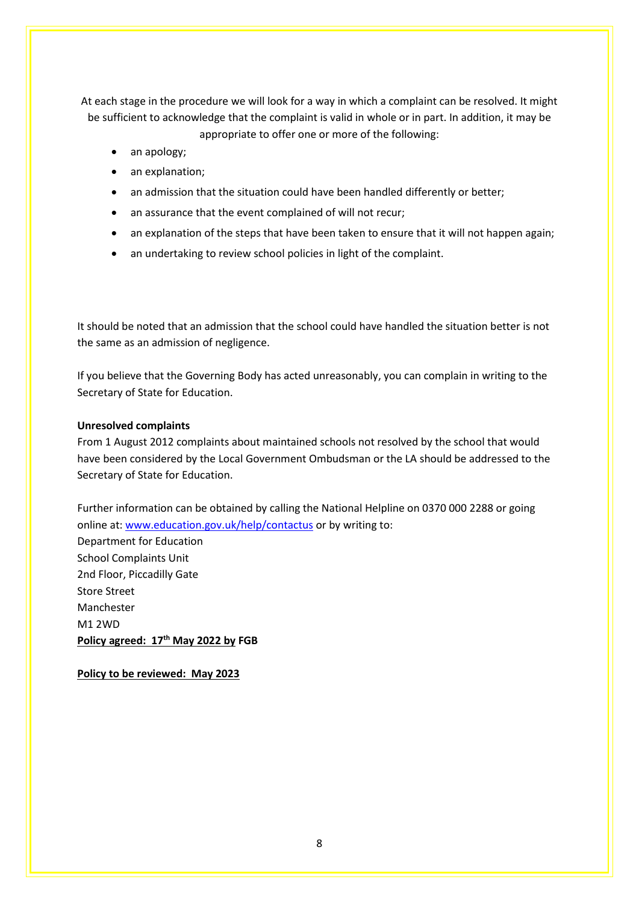At each stage in the procedure we will look for a way in which a complaint can be resolved. It might be sufficient to acknowledge that the complaint is valid in whole or in part. In addition, it may be appropriate to offer one or more of the following:

- an apology;
- an explanation;
- an admission that the situation could have been handled differently or better;
- an assurance that the event complained of will not recur;
- an explanation of the steps that have been taken to ensure that it will not happen again;
- an undertaking to review school policies in light of the complaint.

It should be noted that an admission that the school could have handled the situation better is not the same as an admission of negligence.

If you believe that the Governing Body has acted unreasonably, you can complain in writing to the Secretary of State for Education.

#### **Unresolved complaints**

From 1 August 2012 complaints about maintained schools not resolved by the school that would have been considered by the Local Government Ombudsman or the LA should be addressed to the Secretary of State for Education.

Further information can be obtained by calling the National Helpline on 0370 000 2288 or going online at[: www.education.gov.uk/help/contactus](http://www.education.gov.uk/help/contactus) or by writing to:

Department for Education School Complaints Unit 2nd Floor, Piccadilly Gate Store Street Manchester M1 2WD **Policy agreed: 17th May 2022 by FGB** 

**Policy to be reviewed: May 2023**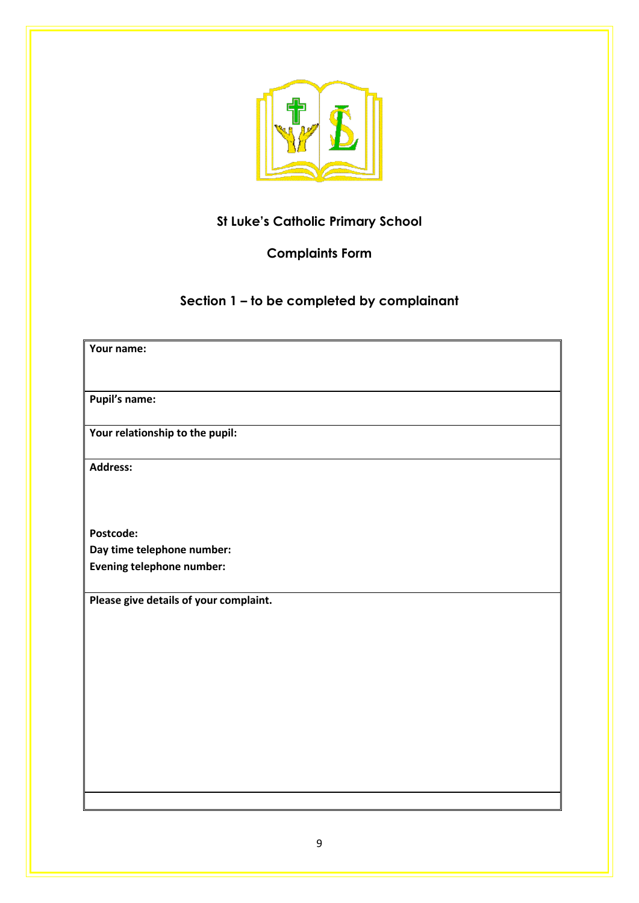

# **St Luke's Catholic Primary School**

## **Complaints Form**

**Section 1 – to be completed by complainant**

| Your name:                             |
|----------------------------------------|
|                                        |
|                                        |
|                                        |
| Pupil's name:                          |
|                                        |
| Your relationship to the pupil:        |
|                                        |
|                                        |
| <b>Address:</b>                        |
|                                        |
|                                        |
|                                        |
|                                        |
| Postcode:                              |
| Day time telephone number:             |
| <b>Evening telephone number:</b>       |
|                                        |
|                                        |
| Please give details of your complaint. |
|                                        |
|                                        |
|                                        |
|                                        |
|                                        |
|                                        |
|                                        |
|                                        |
|                                        |
|                                        |
|                                        |
|                                        |
|                                        |
|                                        |
|                                        |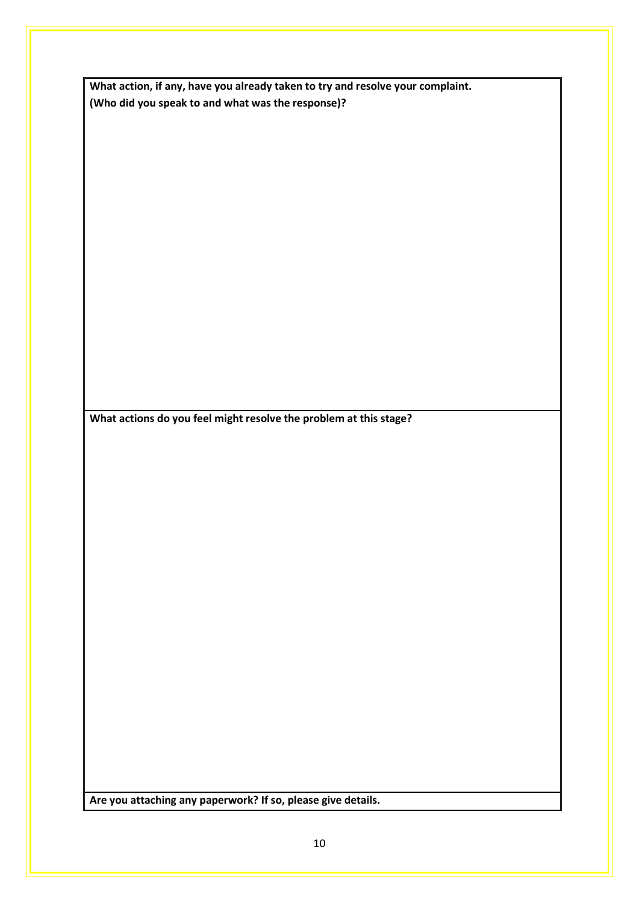| What action, if any, have you already taken to try and resolve your complaint. |
|--------------------------------------------------------------------------------|
| (Who did you speak to and what was the response)?                              |

**What actions do you feel might resolve the problem at this stage?**

**Are you attaching any paperwork? If so, please give details.**